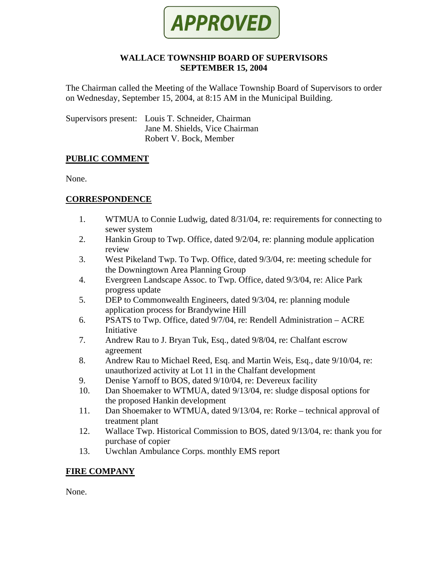

### **WALLACE TOWNSHIP BOARD OF SUPERVISORS SEPTEMBER 15, 2004**

The Chairman called the Meeting of the Wallace Township Board of Supervisors to order on Wednesday, September 15, 2004, at 8:15 AM in the Municipal Building.

Supervisors present: Louis T. Schneider, Chairman Jane M. Shields, Vice Chairman Robert V. Bock, Member

### **PUBLIC COMMENT**

None.

# **CORRESPONDENCE**

- 1. WTMUA to Connie Ludwig, dated 8/31/04, re: requirements for connecting to sewer system
- 2. Hankin Group to Twp. Office, dated 9/2/04, re: planning module application review
- 3. West Pikeland Twp. To Twp. Office, dated 9/3/04, re: meeting schedule for the Downingtown Area Planning Group
- 4. Evergreen Landscape Assoc. to Twp. Office, dated 9/3/04, re: Alice Park progress update
- 5. DEP to Commonwealth Engineers, dated 9/3/04, re: planning module application process for Brandywine Hill
- 6. PSATS to Twp. Office, dated 9/7/04, re: Rendell Administration ACRE Initiative
- 7. Andrew Rau to J. Bryan Tuk, Esq., dated 9/8/04, re: Chalfant escrow agreement
- 8. Andrew Rau to Michael Reed, Esq. and Martin Weis, Esq., date 9/10/04, re: unauthorized activity at Lot 11 in the Chalfant development
- 9. Denise Yarnoff to BOS, dated 9/10/04, re: Devereux facility
- 10. Dan Shoemaker to WTMUA, dated 9/13/04, re: sludge disposal options for the proposed Hankin development
- 11. Dan Shoemaker to WTMUA, dated 9/13/04, re: Rorke technical approval of treatment plant
- 12. Wallace Twp. Historical Commission to BOS, dated 9/13/04, re: thank you for purchase of copier
- 13. Uwchlan Ambulance Corps. monthly EMS report

# **FIRE COMPANY**

None.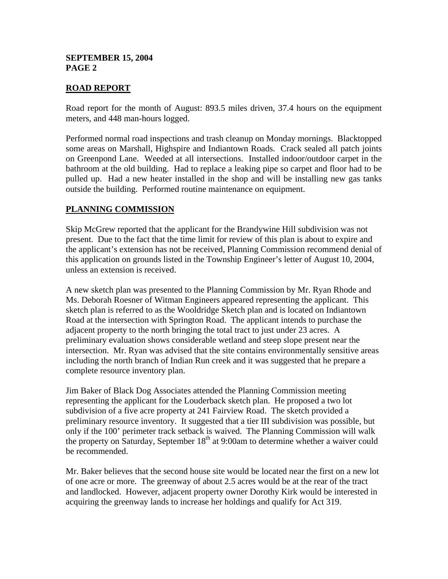#### **SEPTEMBER 15, 2004 PAGE 2**

### **ROAD REPORT**

Road report for the month of August: 893.5 miles driven, 37.4 hours on the equipment meters, and 448 man-hours logged.

Performed normal road inspections and trash cleanup on Monday mornings. Blacktopped some areas on Marshall, Highspire and Indiantown Roads. Crack sealed all patch joints on Greenpond Lane. Weeded at all intersections. Installed indoor/outdoor carpet in the bathroom at the old building. Had to replace a leaking pipe so carpet and floor had to be pulled up. Had a new heater installed in the shop and will be installing new gas tanks outside the building. Performed routine maintenance on equipment.

#### **PLANNING COMMISSION**

Skip McGrew reported that the applicant for the Brandywine Hill subdivision was not present. Due to the fact that the time limit for review of this plan is about to expire and the applicant's extension has not be received, Planning Commission recommend denial of this application on grounds listed in the Township Engineer's letter of August 10, 2004, unless an extension is received.

A new sketch plan was presented to the Planning Commission by Mr. Ryan Rhode and Ms. Deborah Roesner of Witman Engineers appeared representing the applicant. This sketch plan is referred to as the Wooldridge Sketch plan and is located on Indiantown Road at the intersection with Springton Road. The applicant intends to purchase the adjacent property to the north bringing the total tract to just under 23 acres. A preliminary evaluation shows considerable wetland and steep slope present near the intersection. Mr. Ryan was advised that the site contains environmentally sensitive areas including the north branch of Indian Run creek and it was suggested that he prepare a complete resource inventory plan.

Jim Baker of Black Dog Associates attended the Planning Commission meeting representing the applicant for the Louderback sketch plan. He proposed a two lot subdivision of a five acre property at 241 Fairview Road. The sketch provided a preliminary resource inventory. It suggested that a tier III subdivision was possible, but only if the 100' perimeter track setback is waived. The Planning Commission will walk the property on Saturday, September  $18<sup>th</sup>$  at 9:00am to determine whether a waiver could be recommended.

Mr. Baker believes that the second house site would be located near the first on a new lot of one acre or more. The greenway of about 2.5 acres would be at the rear of the tract and landlocked. However, adjacent property owner Dorothy Kirk would be interested in acquiring the greenway lands to increase her holdings and qualify for Act 319.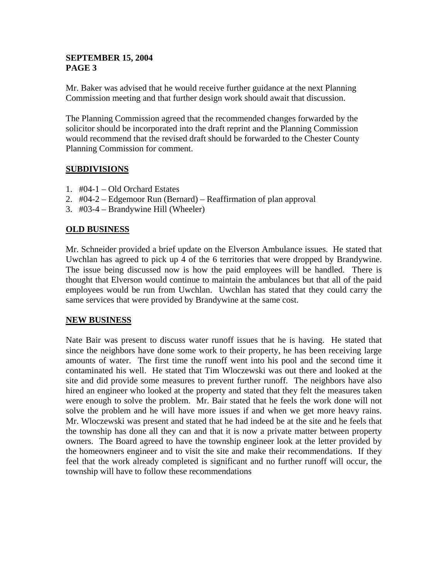### **SEPTEMBER 15, 2004 PAGE 3**

Mr. Baker was advised that he would receive further guidance at the next Planning Commission meeting and that further design work should await that discussion.

The Planning Commission agreed that the recommended changes forwarded by the solicitor should be incorporated into the draft reprint and the Planning Commission would recommend that the revised draft should be forwarded to the Chester County Planning Commission for comment.

# **SUBDIVISIONS**

- 1. #04-1 Old Orchard Estates
- 2. #04-2 Edgemoor Run (Bernard) Reaffirmation of plan approval
- 3. #03-4 Brandywine Hill (Wheeler)

### **OLD BUSINESS**

Mr. Schneider provided a brief update on the Elverson Ambulance issues. He stated that Uwchlan has agreed to pick up 4 of the 6 territories that were dropped by Brandywine. The issue being discussed now is how the paid employees will be handled. There is thought that Elverson would continue to maintain the ambulances but that all of the paid employees would be run from Uwchlan. Uwchlan has stated that they could carry the same services that were provided by Brandywine at the same cost.

#### **NEW BUSINESS**

Nate Bair was present to discuss water runoff issues that he is having. He stated that since the neighbors have done some work to their property, he has been receiving large amounts of water. The first time the runoff went into his pool and the second time it contaminated his well. He stated that Tim Wloczewski was out there and looked at the site and did provide some measures to prevent further runoff. The neighbors have also hired an engineer who looked at the property and stated that they felt the measures taken were enough to solve the problem. Mr. Bair stated that he feels the work done will not solve the problem and he will have more issues if and when we get more heavy rains. Mr. Wloczewski was present and stated that he had indeed be at the site and he feels that the township has done all they can and that it is now a private matter between property owners. The Board agreed to have the township engineer look at the letter provided by the homeowners engineer and to visit the site and make their recommendations. If they feel that the work already completed is significant and no further runoff will occur, the township will have to follow these recommendations